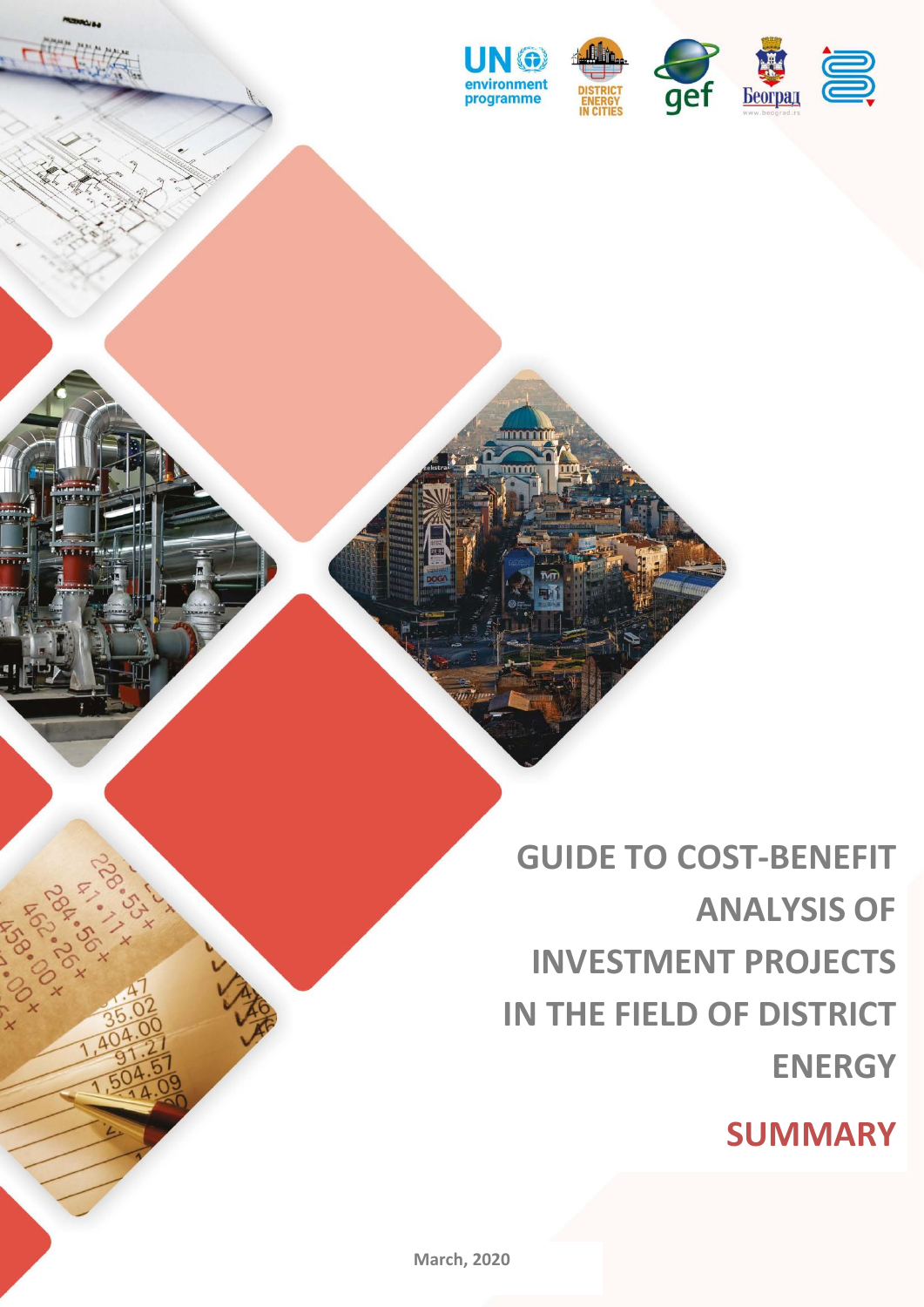

**GUIDE TO COST-BENEFIT ANALYSIS OF INVESTMENT PROJECTS IN THE FIELD OF DISTRICT ENERGY**

**SUMMARY**

**GUIDE TO COST-BENEFIT ANALYSIS OF INVESTMENT PROJECTS IN** 

**THE FIELD OF DISTRICT ENERGY**

SUMMARY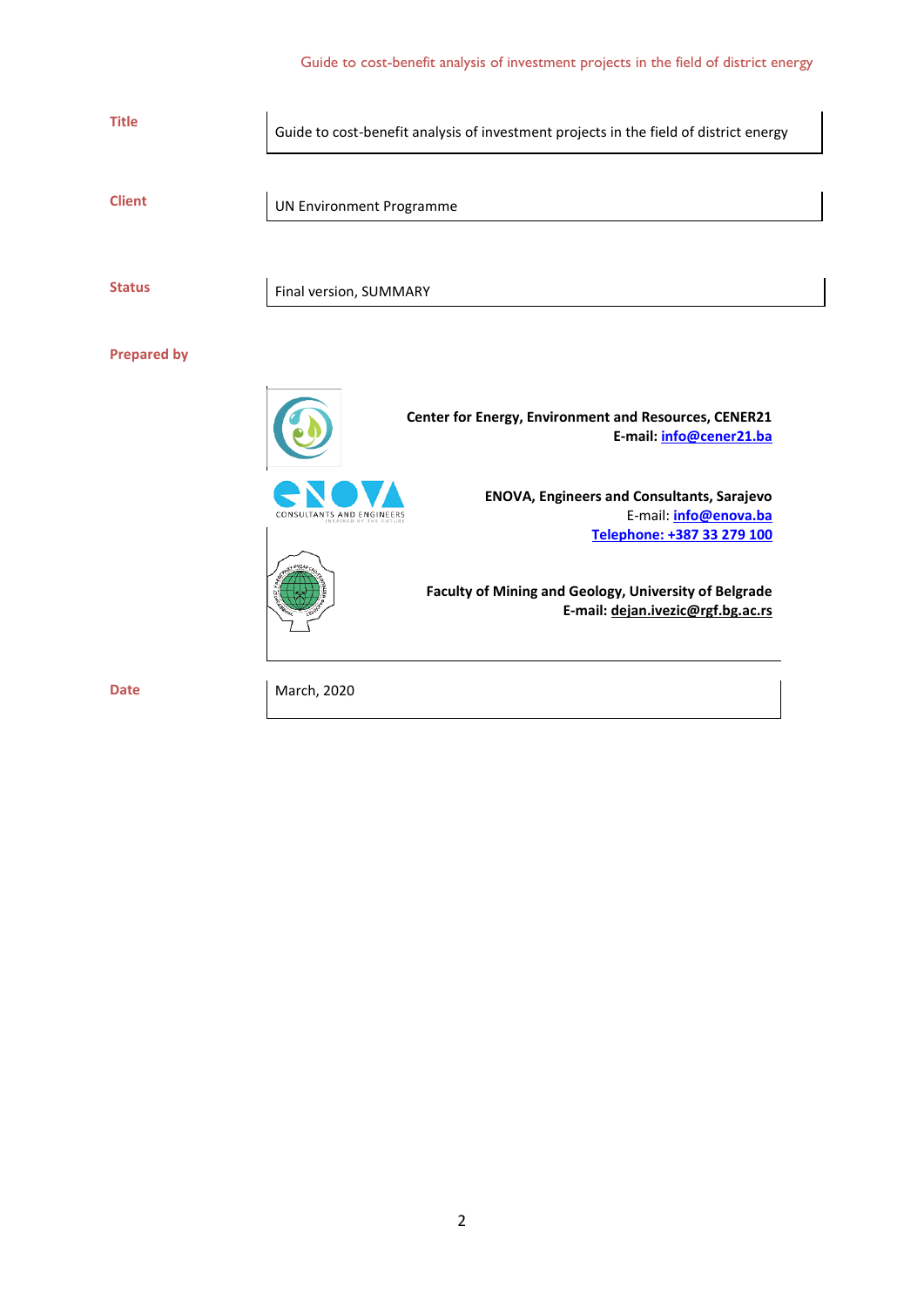| <b>Title</b>       | Guide to cost-benefit analysis of investment projects in the field of district energy                                                 |
|--------------------|---------------------------------------------------------------------------------------------------------------------------------------|
| <b>Client</b>      | <b>UN Environment Programme</b>                                                                                                       |
| <b>Status</b>      | Final version, SUMMARY                                                                                                                |
| <b>Prepared by</b> |                                                                                                                                       |
|                    | Center for Energy, Environment and Resources, CENER21<br>E-mail: info@cener21.ba                                                      |
|                    | <b>ENOVA, Engineers and Consultants, Sarajevo</b><br>E-mail: info@enova.ba<br>CONSULTANTS AND ENGINEERS<br>Telephone: +387 33 279 100 |
|                    | Faculty of Mining and Geology, University of Belgrade<br>E-mail: dejan.ivezic@rgf.bg.ac.rs                                            |
| <b>Date</b>        | March, 2020                                                                                                                           |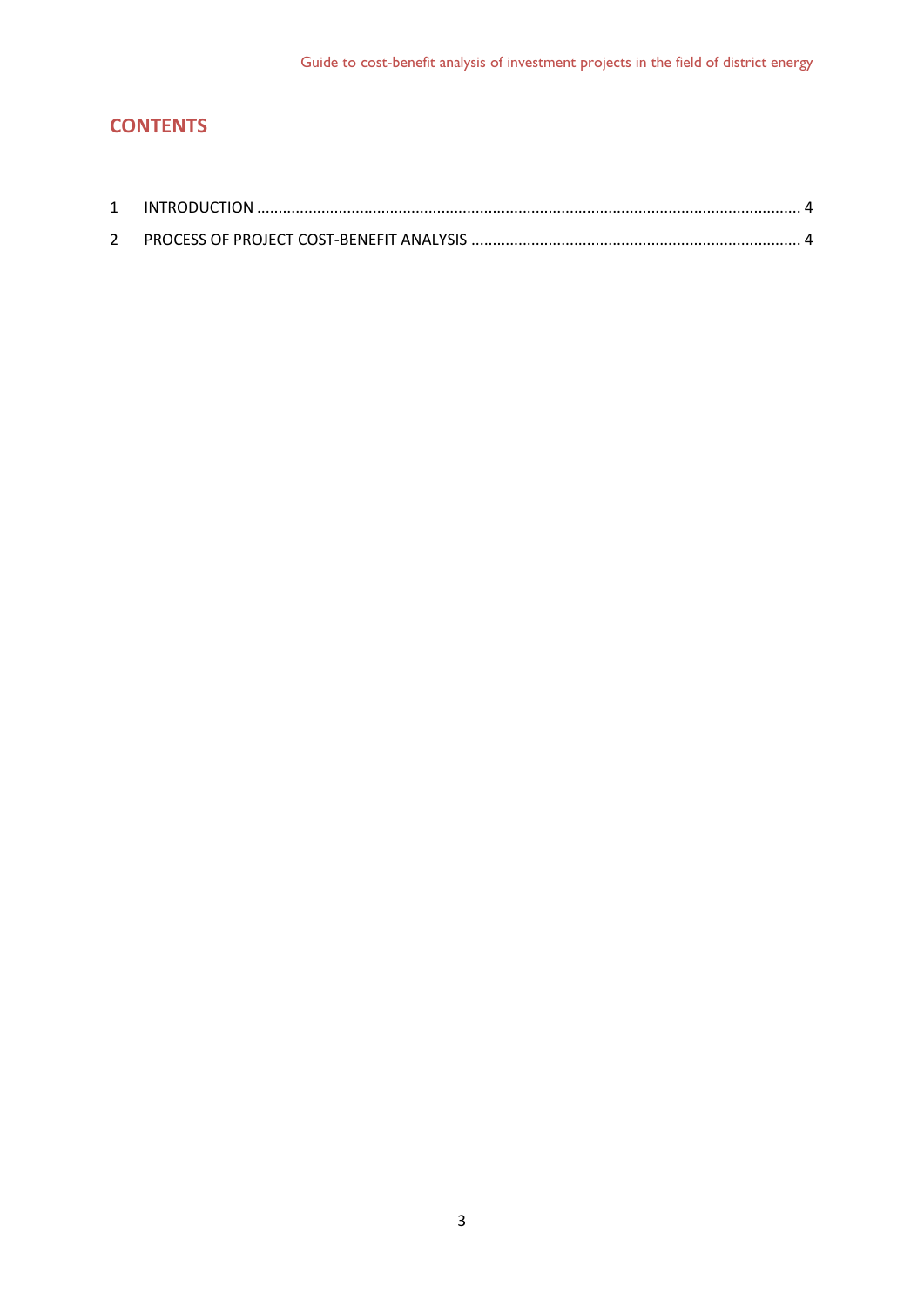# **CONTENTS**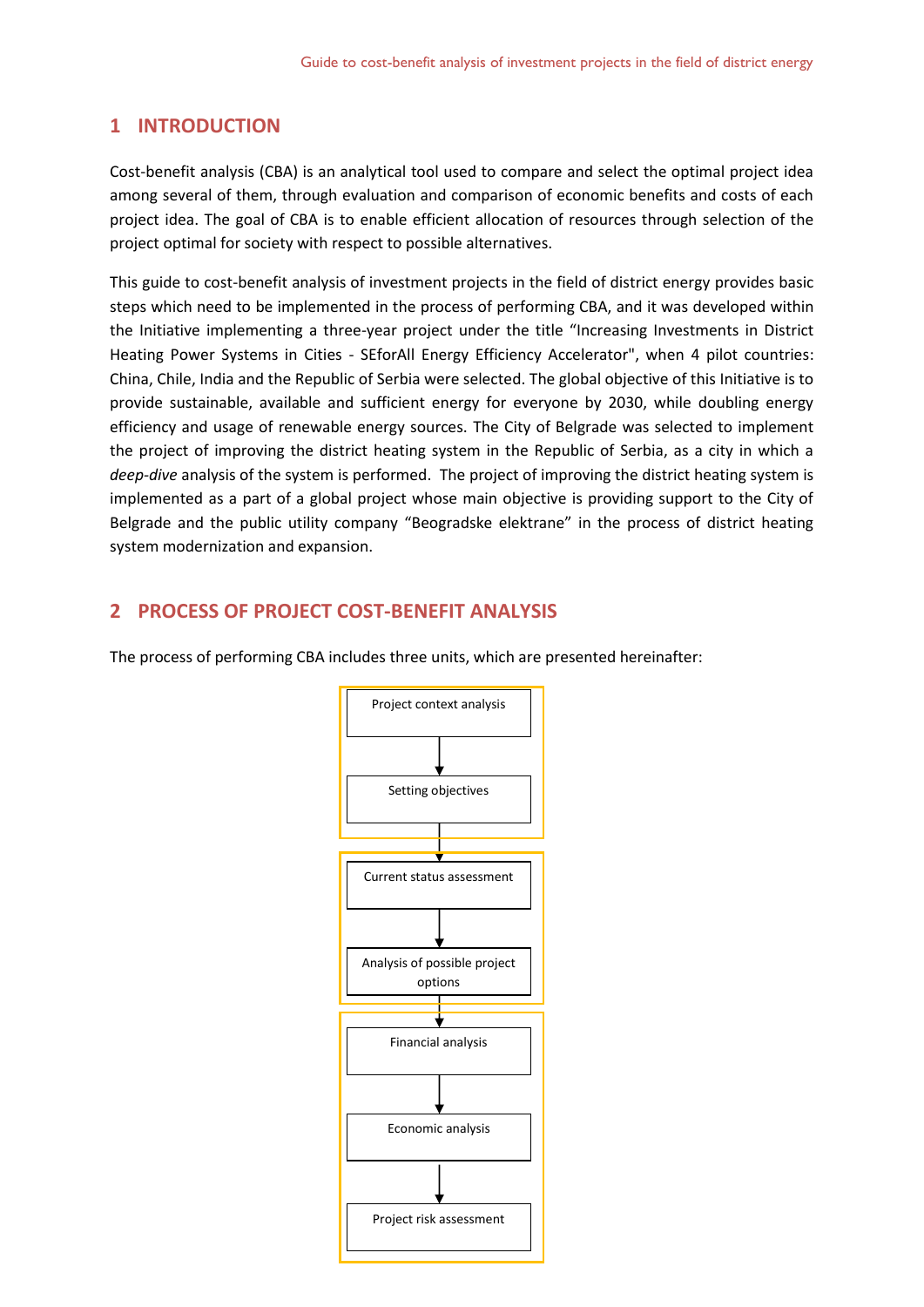# <span id="page-3-0"></span>**1 INTRODUCTION**

Cost-benefit analysis (CBA) is an analytical tool used to compare and select the optimal project idea among several of them, through evaluation and comparison of economic benefits and costs of each project idea. The goal of CBA is to enable efficient allocation of resources through selection of the project optimal for society with respect to possible alternatives.

This guide to cost-benefit analysis of investment projects in the field of district energy provides basic steps which need to be implemented in the process of performing CBA, and it was developed within the Initiative implementing a three-year project under the title "Increasing Investments in District Heating Power Systems in Cities - SEforAll Energy Efficiency Accelerator", when 4 pilot countries: China, Chile, India and the Republic of Serbia were selected. The global objective of this Initiative is to provide sustainable, available and sufficient energy for everyone by 2030, while doubling energy efficiency and usage of renewable energy sources. The City of Belgrade was selected to implement the project of improving the district heating system in the Republic of Serbia, as a city in which a *deep-dive* analysis of the system is performed. The project of improving the district heating system is implemented as a part of a global project whose main objective is providing support to the City of Belgrade and the public utility company "Beogradske elektrane" in the process of district heating system modernization and expansion.

# <span id="page-3-1"></span>**2 PROCESS OF PROJECT COST-BENEFIT ANALYSIS**

The process of performing CBA includes three units, which are presented hereinafter:

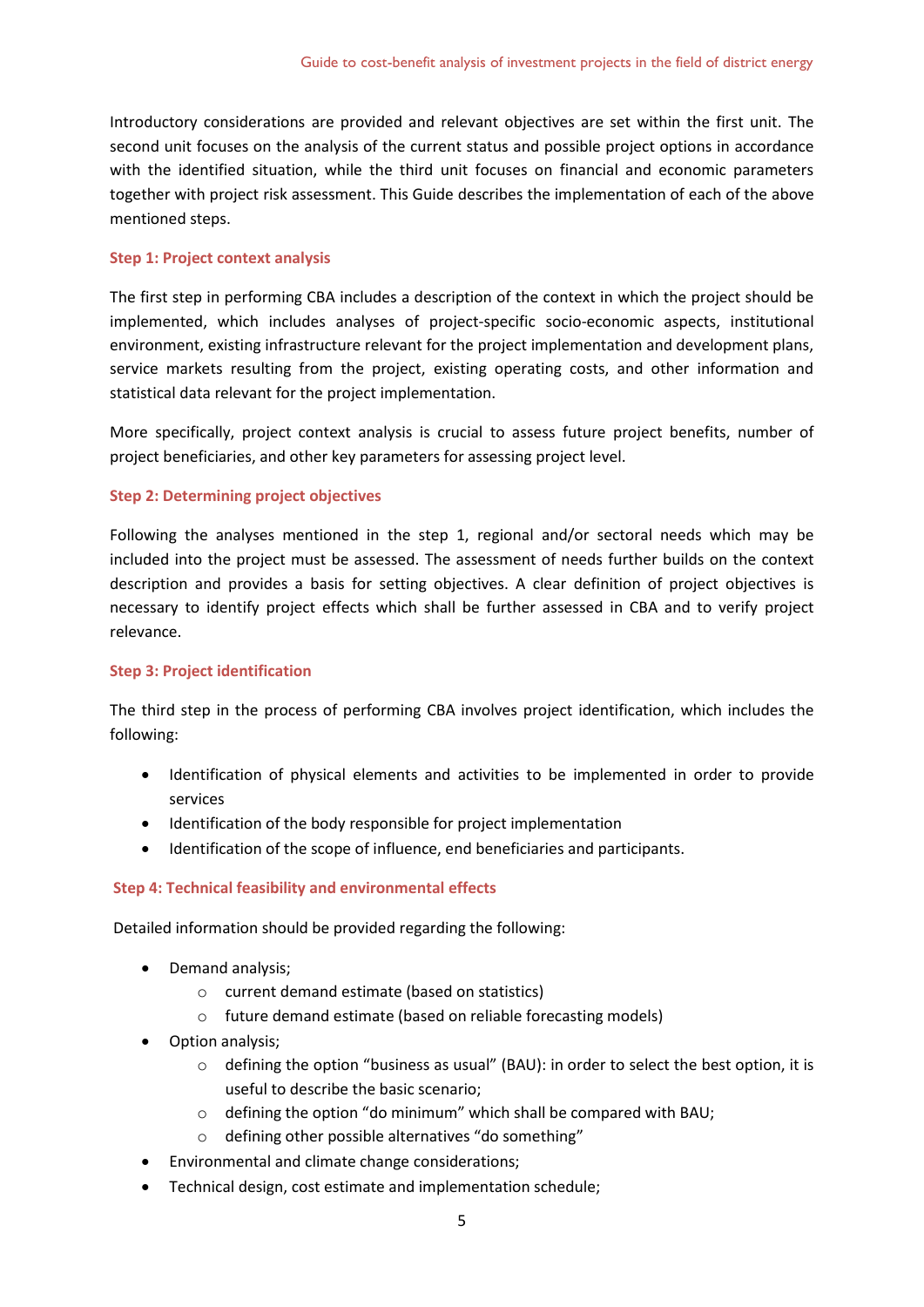Introductory considerations are provided and relevant objectives are set within the first unit. The second unit focuses on the analysis of the current status and possible project options in accordance with the identified situation, while the third unit focuses on financial and economic parameters together with project risk assessment. This Guide describes the implementation of each of the above mentioned steps.

#### **Step 1: Project context analysis**

The first step in performing CBA includes a description of the context in which the project should be implemented, which includes analyses of project-specific socio-economic aspects, institutional environment, existing infrastructure relevant for the project implementation and development plans, service markets resulting from the project, existing operating costs, and other information and statistical data relevant for the project implementation.

More specifically, project context analysis is crucial to assess future project benefits, number of project beneficiaries, and other key parameters for assessing project level.

## **Step 2: Determining project objectives**

Following the analyses mentioned in the step 1, regional and/or sectoral needs which may be included into the project must be assessed. The assessment of needs further builds on the context description and provides a basis for setting objectives. A clear definition of project objectives is necessary to identify project effects which shall be further assessed in CBA and to verify project relevance.

#### **Step 3: Project identification**

The third step in the process of performing CBA involves project identification, which includes the following:

- Identification of physical elements and activities to be implemented in order to provide services
- Identification of the body responsible for project implementation
- Identification of the scope of influence, end beneficiaries and participants.

#### **Step 4: Technical feasibility and environmental effects**

Detailed information should be provided regarding the following:

- Demand analysis;
	- o current demand estimate (based on statistics)
	- o future demand estimate (based on reliable forecasting models)
- Option analysis;
	- o defining the option "business as usual" (BAU): in order to select the best option, it is useful to describe the basic scenario;
	- o defining the option "do minimum" which shall be compared with BAU;
	- o defining other possible alternatives "do something"
- Environmental and climate change considerations;
- Technical design, cost estimate and implementation schedule;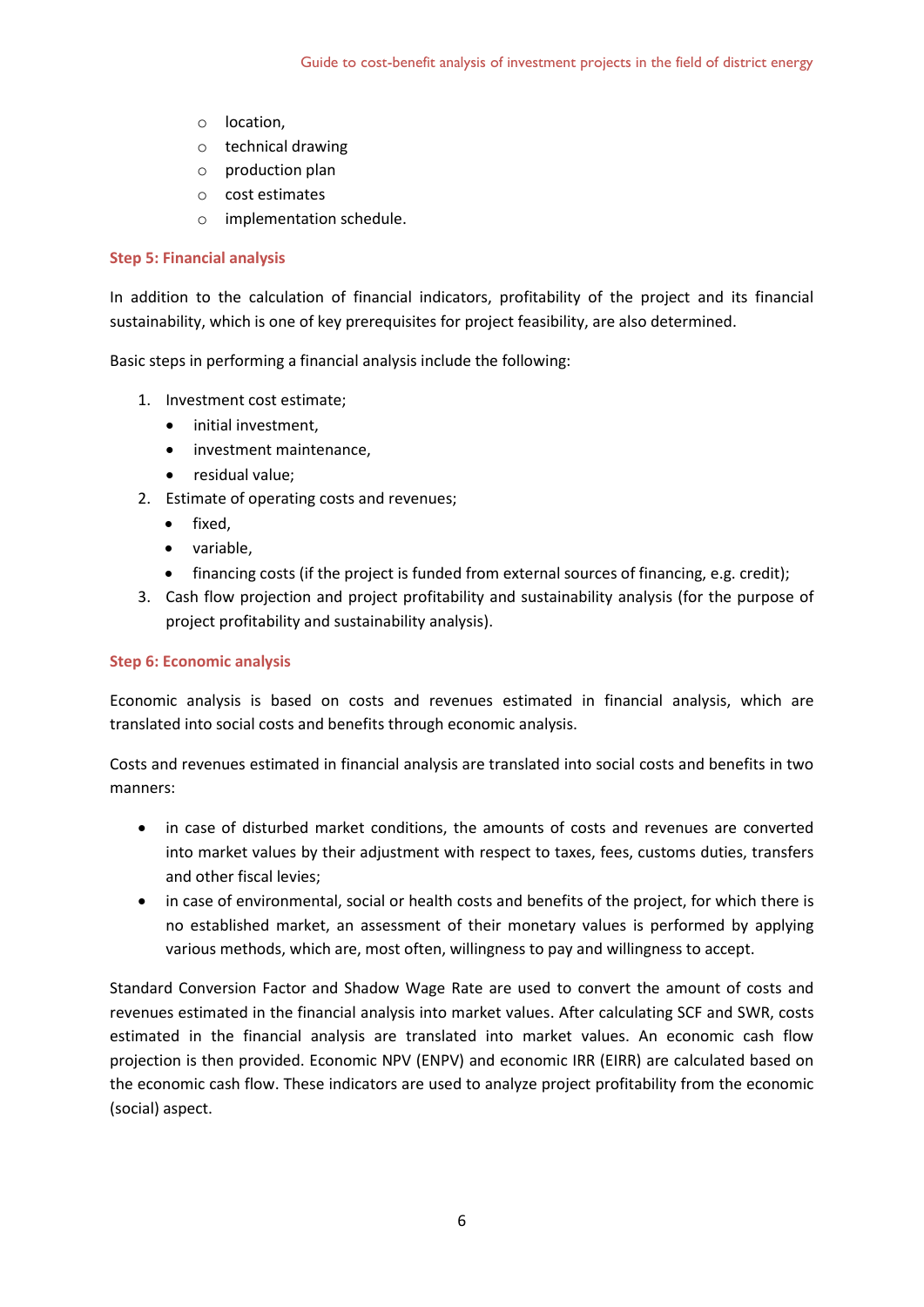- o location,
- o technical drawing
- o production plan
- o cost estimates
- o implementation schedule.

## **Step 5: Financial analysis**

In addition to the calculation of financial indicators, profitability of the project and its financial sustainability, which is one of key prerequisites for project feasibility, are also determined.

Basic steps in performing a financial analysis include the following:

- 1. Investment cost estimate;
	- initial investment,
	- investment maintenance,
	- residual value;
- 2. Estimate of operating costs and revenues;
	- fixed.
	- variable,
	- financing costs (if the project is funded from external sources of financing, e.g. credit);
- 3. Cash flow projection and project profitability and sustainability analysis (for the purpose of project profitability and sustainability analysis).

# **Step 6: Economic analysis**

Economic analysis is based on costs and revenues estimated in financial analysis, which are translated into social costs and benefits through economic analysis.

Costs and revenues estimated in financial analysis are translated into social costs and benefits in two manners:

- in case of disturbed market conditions, the amounts of costs and revenues are converted into market values by their adjustment with respect to taxes, fees, customs duties, transfers and other fiscal levies;
- in case of environmental, social or health costs and benefits of the project, for which there is no established market, an assessment of their monetary values is performed by applying various methods, which are, most often, willingness to pay and willingness to accept.

Standard Conversion Factor and Shadow Wage Rate are used to convert the amount of costs and revenues estimated in the financial analysis into market values. After calculating SCF and SWR, costs estimated in the financial analysis are translated into market values. An economic cash flow projection is then provided. Economic NPV (ENPV) and economic IRR (EIRR) are calculated based on the economic cash flow. These indicators are used to analyze project profitability from the economic (social) aspect.